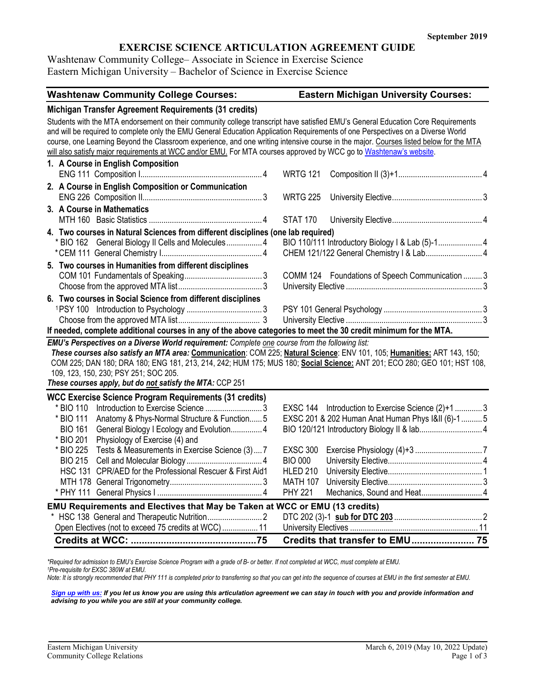# **EXERCISE SCIENCE ARTICULATION AGREEMENT GUIDE**

Washtenaw Community College– Associate in Science in Exercise Science Eastern Michigan University – Bachelor of Science in Exercise Science

| <b>Washtenaw Community College Courses:</b>                                                                                                                                                                                                                                                                                                                                                                                                                                                                                        | <b>Eastern Michigan University Courses:</b>                                                                              |  |  |  |
|------------------------------------------------------------------------------------------------------------------------------------------------------------------------------------------------------------------------------------------------------------------------------------------------------------------------------------------------------------------------------------------------------------------------------------------------------------------------------------------------------------------------------------|--------------------------------------------------------------------------------------------------------------------------|--|--|--|
| Michigan Transfer Agreement Requirements (31 credits)                                                                                                                                                                                                                                                                                                                                                                                                                                                                              |                                                                                                                          |  |  |  |
| Students with the MTA endorsement on their community college transcript have satisfied EMU's General Education Core Requirements<br>and will be required to complete only the EMU General Education Application Requirements of one Perspectives on a Diverse World<br>course, one Learning Beyond the Classroom experience, and one writing intensive course in the major. Courses listed below for the MTA<br>will also satisfy major requirements at WCC and/or EMU. For MTA courses approved by WCC go to Washtenaw's website. |                                                                                                                          |  |  |  |
| 1. A Course in English Composition                                                                                                                                                                                                                                                                                                                                                                                                                                                                                                 | <b>WRTG 121</b>                                                                                                          |  |  |  |
| 2. A Course in English Composition or Communication                                                                                                                                                                                                                                                                                                                                                                                                                                                                                | <b>WRTG 225</b>                                                                                                          |  |  |  |
| 3. A Course in Mathematics                                                                                                                                                                                                                                                                                                                                                                                                                                                                                                         | <b>STAT 170</b>                                                                                                          |  |  |  |
| 4. Two courses in Natural Sciences from different disciplines (one lab required)<br>* BIO 162 General Biology II Cells and Molecules 4                                                                                                                                                                                                                                                                                                                                                                                             | BIO 110/111 Introductory Biology I & Lab (5)-1 4<br>CHEM 121/122 General Chemistry   & Lab 4                             |  |  |  |
| 5. Two courses in Humanities from different disciplines                                                                                                                                                                                                                                                                                                                                                                                                                                                                            | COMM 124 Foundations of Speech Communication  3                                                                          |  |  |  |
| 6. Two courses in Social Science from different disciplines<br>If needed, complete additional courses in any of the above categories to meet the 30 credit minimum for the MTA.                                                                                                                                                                                                                                                                                                                                                    |                                                                                                                          |  |  |  |
| EMU's Perspectives on a Diverse World requirement: Complete one course from the following list:<br>These courses also satisfy an MTA area: Communication: COM 225; Natural Science: ENV 101, 105; Humanities: ART 143, 150;<br>COM 225; DAN 180; DRA 180; ENG 181, 213, 214, 242; HUM 175; MUS 180; Social Science: ANT 201; ECO 280; GEO 101; HST 108,<br>109, 123, 150, 230; PSY 251; SOC 205.<br>These courses apply, but do not satisfy the MTA: CCP 251                                                                       |                                                                                                                          |  |  |  |
| <b>WCC Exercise Science Program Requirements (31 credits)</b><br>* BIO 110<br>Anatomy & Phys-Normal Structure & Function 5<br>* BIO 111<br><b>BIO 161</b><br>General Biology I Ecology and Evolution 4<br>* BIO 201<br>Physiology of Exercise (4) and                                                                                                                                                                                                                                                                              | EXSC 144 Introduction to Exercise Science (2)+1 3<br>EXSC 201 & 202 Human Anat Human Phys I&II (6)-1 5                   |  |  |  |
| Tests & Measurements in Exercise Science (3) 7<br>* BIO 225<br><b>BIO 215</b><br>HSC 131 CPR/AED for the Professional Rescuer & First Aid1                                                                                                                                                                                                                                                                                                                                                                                         | <b>EXSC 300</b><br><b>BIO 000</b><br><b>HLED 210</b><br><b>MATH 107</b><br><b>PHY 221</b><br>Mechanics, Sound and Heat 4 |  |  |  |
| EMU Requirements and Electives that May be Taken at WCC or EMU (13 credits)<br>Open Electives (not to exceed 75 credits at WCC)  11                                                                                                                                                                                                                                                                                                                                                                                                | Credits that transfer to EMU 75                                                                                          |  |  |  |
|                                                                                                                                                                                                                                                                                                                                                                                                                                                                                                                                    |                                                                                                                          |  |  |  |

*\*Required for admission to EMU's Exercise Science Program with a grade of B- or better. If not completed at WCC, must complete at EMU. 1Pre-requisite for EXSC 380W at EMU.*

*Note: It is strongly recommended that PHY 111 is completed prior to transferring so that you can get into the sequence of courses at EMU in the first semester at EMU.*

*[Sign up with us:](https://www.emich.edu/ccr/articulation-agreements/signup.php) If you let us know you are using this articulation agreement we can stay in touch with you and provide information and advising to you while you are still at your community college.*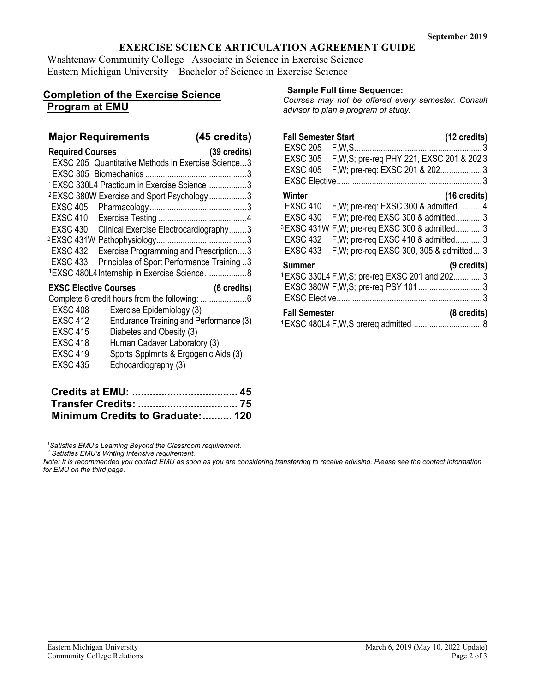# **EXERCISE SCIENCE ARTICULATION AGREEMENT GUIDE**

Washtenaw Community College– Associate in Science in Exercise Science Eastern Michigan University – Bachelor of Science in Exercise Science

# **Completion of the Exercise Science Program at EMU**

## **Major Requirements (45 credits)**

| <b>Required Courses</b>                                       | $(39 \text{ credits})$ |
|---------------------------------------------------------------|------------------------|
| EXSC 205 Quantitative Methods in Exercise Science3            |                        |
|                                                               |                        |
| <sup>1</sup> EXSC 330L4 Practicum in Exercise Science3        |                        |
| <sup>2</sup> EXSC 380W Exercise and Sport Psychology 3        |                        |
|                                                               |                        |
|                                                               |                        |
| EXSC 430 Clinical Exercise Electrocardiography3               |                        |
|                                                               |                        |
| EXSC 432<br>Exercise Programming and Prescription3            |                        |
| <b>EXSC 433</b><br>Principles of Sport Performance Training 3 |                        |
| <sup>1</sup> EXSC 480L4 Internship in Exercise Science 8      |                        |
| <b>EXSC Elective Courses</b>                                  | (6 credits)            |
|                                                               |                        |
| <b>EXSC 408</b><br>Exercise Epidemiology (3)                  |                        |
| <b>EXSC 412</b><br>Endurance Training and Performance (3)     |                        |
| <b>EXSC 415</b><br>Diabetes and Obesity (3)                   |                        |
| <b>EXSC 418</b><br>Human Cadaver Laboratory (3)               |                        |
| <b>EXSC 419</b><br>Sports Spplmnts & Ergogenic Aids (3)       |                        |
| <b>EXSC 435</b><br>Echocardiography (3)                       |                        |

| Minimum Credits to Graduate: 120 |  |
|----------------------------------|--|

*1 Satisfies EMU's Learning Beyond the Classroom requirement.*

*<sup>2</sup> Satisfies EMU's Writing Intensive requirement.* 

*Note: It is recommended you contact EMU as soon as you are considering transferring to receive advising. Please see the contact information for EMU on the third page.*

### **Sample Full time Sequence:**

*Courses may not be offered every semester. Consult advisor to plan a program of study.*

| <b>Fall Semester Start</b> |                                                          | (12 credits)           |
|----------------------------|----------------------------------------------------------|------------------------|
| EXSC 205 F.W.S.            |                                                          | 3                      |
| <b>EXSC 305</b>            | F, W, S; pre-reg PHY 221, EXSC 201 & 2023                |                        |
| <b>EXSC 405</b>            | F, W; pre-req: EXSC 201 & 2023                           |                        |
|                            |                                                          |                        |
| Winter                     |                                                          | $(16 \text{ credits})$ |
| <b>EXSC 410</b>            | F, W; pre-req: EXSC 300 & admitted4                      |                        |
| <b>EXSC 430</b>            | F, W; pre-req EXSC 300 & admitted3                       |                        |
|                            | <sup>3</sup> EXSC 431W F.W; pre-req EXSC 300 & admitted3 |                        |
| <b>EXSC 432</b>            | F, W; pre-req EXSC 410 & admitted3                       |                        |
| <b>EXSC 433</b>            | F, W; pre-req EXSC 300, 305 & admitted 3                 |                        |
| Summer                     |                                                          | (9 credits)            |
|                            | <sup>1</sup> EXSC 330L4 F,W,S; pre-req EXSC 201 and 2023 |                        |
|                            |                                                          |                        |
|                            |                                                          |                        |
| <b>Fall Semester</b>       |                                                          | (8 credits)            |
|                            | <sup>1</sup> EXSC 480L4 F, W, S prereg admitted          |                        |